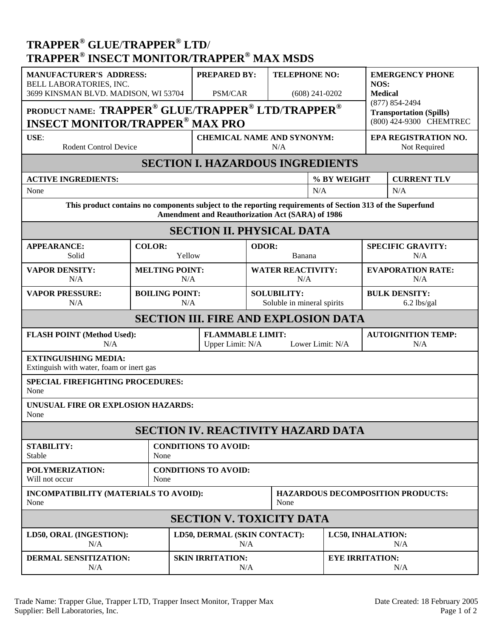## **TRAPPER® GLUE**/**TRAPPER® LTD**/ **TRAPPER® INSECT MONITOR/TRAPPER® MAX MSDS**

| <b>MANUFACTURER'S ADDRESS:</b><br><b>BELL LABORATORIES, INC.</b><br>3699 KINSMAN BLVD. MADISON, WI 53704<br>PRODUCT NAME: TRAPPER <sup>®</sup> GLUE/TRAPPER <sup>®</sup> LTD/TRAPPER <sup>®</sup><br><b>INSECT MONITOR/TRAPPER<sup>®</sup> MAX PRO</b> |                                     |                              | <b>PREPARED BY:</b><br><b>PSM/CAR</b>                           |  | <b>TELEPHONE NO:</b><br>$(608)$ 241-0202         |             | <b>EMERGENCY PHONE</b><br>NOS:<br><b>Medical</b><br>(877) 854-2494<br><b>Transportation (Spills)</b><br>(800) 424-9300 CHEMTREC |                    |  |
|--------------------------------------------------------------------------------------------------------------------------------------------------------------------------------------------------------------------------------------------------------|-------------------------------------|------------------------------|-----------------------------------------------------------------|--|--------------------------------------------------|-------------|---------------------------------------------------------------------------------------------------------------------------------|--------------------|--|
| USE:<br><b>Rodent Control Device</b>                                                                                                                                                                                                                   |                                     |                              | <b>CHEMICAL NAME AND SYNONYM:</b><br>N/A                        |  |                                                  |             | EPA REGISTRATION NO.<br>Not Required                                                                                            |                    |  |
| <b>SECTION I. HAZARDOUS INGREDIENTS</b>                                                                                                                                                                                                                |                                     |                              |                                                                 |  |                                                  |             |                                                                                                                                 |                    |  |
| <b>ACTIVE INGREDIENTS:</b>                                                                                                                                                                                                                             |                                     |                              |                                                                 |  |                                                  | % BY WEIGHT |                                                                                                                                 | <b>CURRENT TLV</b> |  |
| None                                                                                                                                                                                                                                                   |                                     |                              |                                                                 |  |                                                  | N/A         |                                                                                                                                 | N/A                |  |
| This product contains no components subject to the reporting requirements of Section 313 of the Superfund<br><b>Amendment and Reauthorization Act (SARA) of 1986</b>                                                                                   |                                     |                              |                                                                 |  |                                                  |             |                                                                                                                                 |                    |  |
| <b>SECTION II. PHYSICAL DATA</b>                                                                                                                                                                                                                       |                                     |                              |                                                                 |  |                                                  |             |                                                                                                                                 |                    |  |
| <b>APPEARANCE:</b><br>Solid                                                                                                                                                                                                                            | <b>COLOR:</b><br>Yellow             |                              | ODOR:<br>Banana                                                 |  | <b>SPECIFIC GRAVITY:</b><br>N/A                  |             |                                                                                                                                 |                    |  |
| <b>VAPOR DENSITY:</b><br>N/A                                                                                                                                                                                                                           |                                     | <b>MELTING POINT:</b><br>N/A |                                                                 |  | <b>WATER REACTIVITY:</b><br>N/A                  |             | <b>EVAPORATION RATE:</b><br>N/A                                                                                                 |                    |  |
| <b>VAPOR PRESSURE:</b><br>N/A                                                                                                                                                                                                                          |                                     | <b>BOILING POINT:</b><br>N/A |                                                                 |  | <b>SOLUBILITY:</b><br>Soluble in mineral spirits |             | <b>BULK DENSITY:</b><br>6.2 lbs/gal                                                                                             |                    |  |
| <b>SECTION III. FIRE AND EXPLOSION DATA</b>                                                                                                                                                                                                            |                                     |                              |                                                                 |  |                                                  |             |                                                                                                                                 |                    |  |
| <b>FLASH POINT (Method Used):</b><br>N/A                                                                                                                                                                                                               |                                     |                              | <b>FLAMMABLE LIMIT:</b><br>Lower Limit: N/A<br>Upper Limit: N/A |  |                                                  |             | <b>AUTOIGNITION TEMP:</b><br>N/A                                                                                                |                    |  |
| <b>EXTINGUISHING MEDIA:</b><br>Extinguish with water, foam or inert gas                                                                                                                                                                                |                                     |                              |                                                                 |  |                                                  |             |                                                                                                                                 |                    |  |
| <b>SPECIAL FIREFIGHTING PROCEDURES:</b><br>None                                                                                                                                                                                                        |                                     |                              |                                                                 |  |                                                  |             |                                                                                                                                 |                    |  |
| UNUSUAL FIRE OR EXPLOSION HAZARDS:<br>None                                                                                                                                                                                                             |                                     |                              |                                                                 |  |                                                  |             |                                                                                                                                 |                    |  |
| <b>SECTION IV. REACTIVITY HAZARD DATA</b>                                                                                                                                                                                                              |                                     |                              |                                                                 |  |                                                  |             |                                                                                                                                 |                    |  |
| <b>STABILITY:</b><br>Stable                                                                                                                                                                                                                            | <b>CONDITIONS TO AVOID:</b><br>None |                              |                                                                 |  |                                                  |             |                                                                                                                                 |                    |  |
| POLYMERIZATION:<br>Will not occur                                                                                                                                                                                                                      | None                                | <b>CONDITIONS TO AVOID:</b>  |                                                                 |  |                                                  |             |                                                                                                                                 |                    |  |
| INCOMPATIBILITY (MATERIALS TO AVOID):<br>None                                                                                                                                                                                                          |                                     |                              | None                                                            |  |                                                  |             | <b>HAZARDOUS DECOMPOSITION PRODUCTS:</b>                                                                                        |                    |  |
| <b>SECTION V. TOXICITY DATA</b>                                                                                                                                                                                                                        |                                     |                              |                                                                 |  |                                                  |             |                                                                                                                                 |                    |  |
| LD50, ORAL (INGESTION):<br>N/A                                                                                                                                                                                                                         |                                     |                              | LD50, DERMAL (SKIN CONTACT):<br>N/A                             |  |                                                  |             | <b>LC50, INHALATION:</b><br>N/A                                                                                                 |                    |  |
| DERMAL SENSITIZATION:<br>N/A                                                                                                                                                                                                                           |                                     |                              | <b>SKIN IRRITATION:</b><br>N/A                                  |  |                                                  |             | <b>EYE IRRITATION:</b><br>N/A                                                                                                   |                    |  |